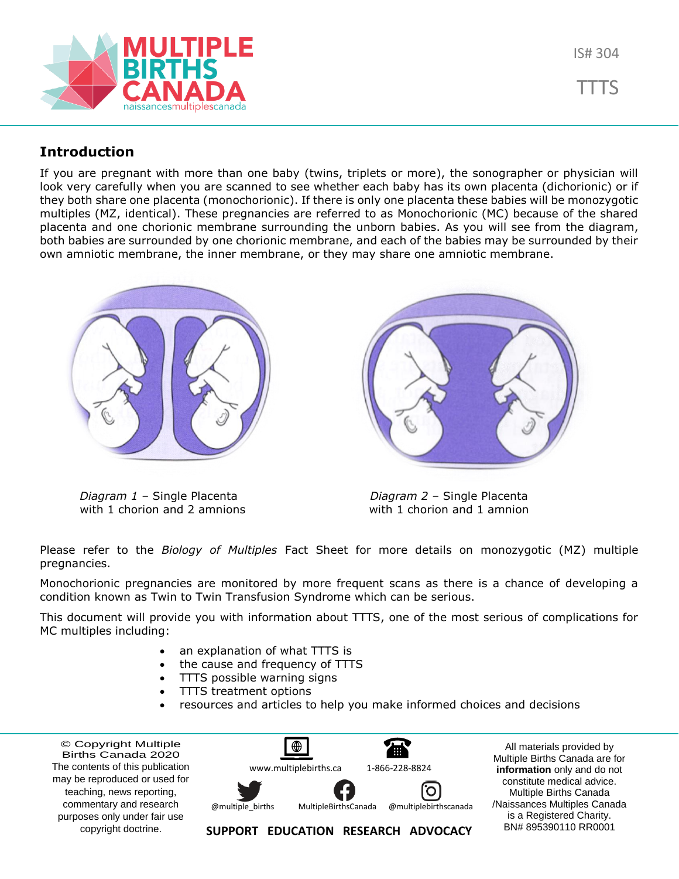

TTTS

## **Introduction**

If you are pregnant with more than one baby (twins, triplets or more), the sonographer or physician will look very carefully when you are scanned to see whether each baby has its own placenta (dichorionic) or if they both share one placenta (monochorionic). If there is only one placenta these babies will be monozygotic multiples (MZ, identical). These pregnancies are referred to as Monochorionic (MC) because of the shared placenta and one chorionic membrane surrounding the unborn babies. As you will see from the diagram, both babies are surrounded by one chorionic membrane, and each of the babies may be surrounded by their own amniotic membrane, the inner membrane, or they may share one amniotic membrane.



*Diagram 1* – Single Placenta *Diagram 2* – Single Placenta with 1 chorion and 2 amnions with 1 chorion and 1 amnion

Please refer to the *Biology of Multiples* Fact Sheet for more details on monozygotic (MZ) multiple pregnancies.

Monochorionic pregnancies are monitored by more frequent scans as there is a chance of developing a condition known as Twin to Twin Transfusion Syndrome which can be serious.

This document will provide you with information about TTTS, one of the most serious of complications for MC multiples including:

- an explanation of what TTTS is
- the cause and frequency of TTTS
- TTTS possible warning signs
- TTTS treatment options
- resources and articles to help you make informed choices and decisions

© Copyright Multiple Births Canada 2020 The contents of this publication may be reproduced or used for teaching, news reporting, commentary and research purposes only under fair use copyright doctrine.



All materials provided by Multiple Births Canada are for **information** only and do not constitute medical advice. Multiple Births Canada /Naissances Multiples Canada is a Registered Charity. BN# 895390110 RR0001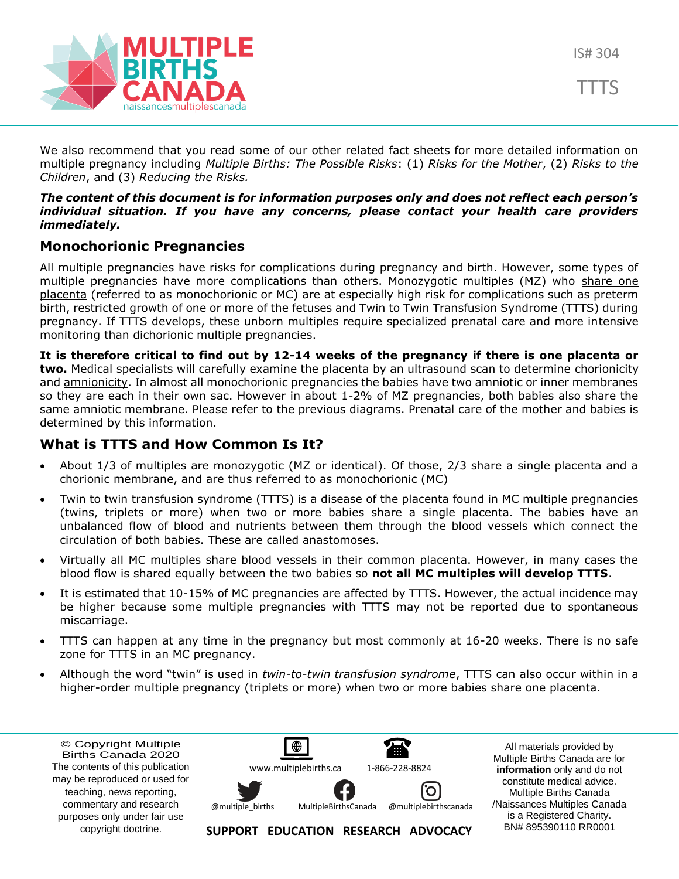



We also recommend that you read some of our other related fact sheets for more detailed information on multiple pregnancy including *Multiple Births: The Possible Risks*: (1) *Risks for the Mother*, (2) *Risks to the Children*, and (3) *Reducing the Risks.*

### *The content of this document is for information purposes only and does not reflect each person's individual situation. If you have any concerns, please contact your health care providers immediately.*

### **Monochorionic Pregnancies**

All multiple pregnancies have risks for complications during pregnancy and birth. However, some types of multiple pregnancies have more complications than others. Monozygotic multiples (MZ) who share one placenta (referred to as monochorionic or MC) are at especially high risk for complications such as preterm birth, restricted growth of one or more of the fetuses and Twin to Twin Transfusion Syndrome (TTTS) during pregnancy. If TTTS develops, these unborn multiples require specialized prenatal care and more intensive monitoring than dichorionic multiple pregnancies.

**It is therefore critical to find out by 12-14 weeks of the pregnancy if there is one placenta or two.** Medical specialists will carefully examine the placenta by an ultrasound scan to determine chorionicity and **amnionicity**. In almost all monochorionic pregnancies the babies have two amniotic or inner membranes so they are each in their own sac. However in about 1-2% of MZ pregnancies, both babies also share the same amniotic membrane. Please refer to the previous diagrams. Prenatal care of the mother and babies is determined by this information.

### **What is TTTS and How Common Is It?**

- About 1/3 of multiples are monozygotic (MZ or identical). Of those, 2/3 share a single placenta and a chorionic membrane, and are thus referred to as monochorionic (MC)
- Twin to twin transfusion syndrome (TTTS) is a disease of the placenta found in MC multiple pregnancies (twins, triplets or more) when two or more babies share a single placenta. The babies have an unbalanced flow of blood and nutrients between them through the blood vessels which connect the circulation of both babies. These are called anastomoses.
- Virtually all MC multiples share blood vessels in their common placenta. However, in many cases the blood flow is shared equally between the two babies so **not all MC multiples will develop TTTS**.
- It is estimated that 10-15% of MC pregnancies are affected by TTTS. However, the actual incidence may be higher because some multiple pregnancies with TTTS may not be reported due to spontaneous miscarriage.
- TTTS can happen at any time in the pregnancy but most commonly at 16-20 weeks. There is no safe zone for TTTS in an MC pregnancy.
- Although the word "twin" is used in *twin-to-twin transfusion syndrome*, TTTS can also occur within in a higher-order multiple pregnancy (triplets or more) when two or more babies share one placenta.

© Copyright Multiple Births Canada 2020 The contents of this publication may be reproduced or used for teaching, news reporting, commentary and research purposes only under fair use copyright doctrine.



All materials provided by Multiple Births Canada are for **information** only and do not constitute medical advice. Multiple Births Canada /Naissances Multiples Canada is a Registered Charity. BN# 895390110 RR0001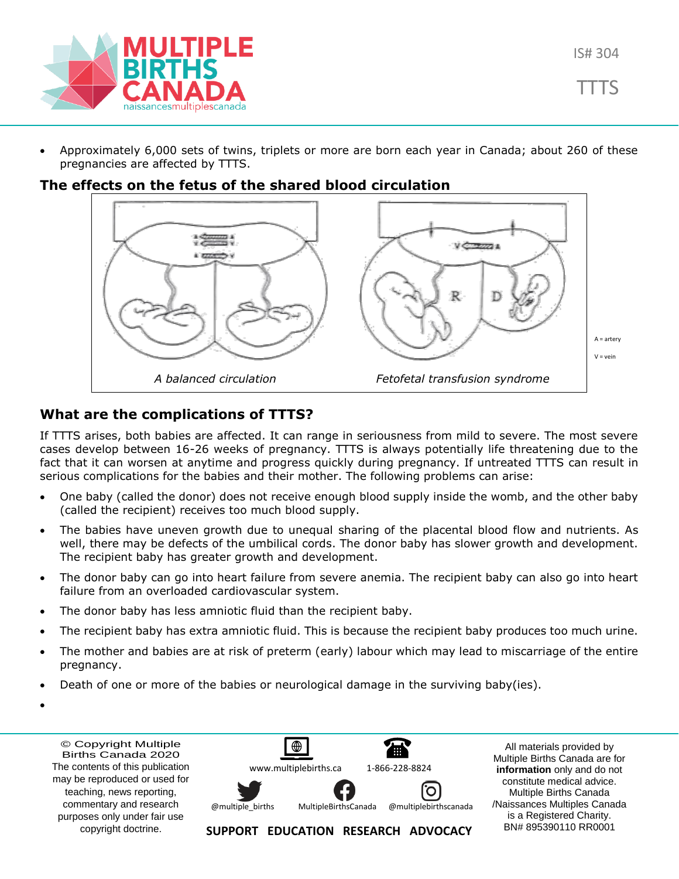

• Approximately 6,000 sets of twins, triplets or more are born each year in Canada; about 260 of these pregnancies are affected by TTTS.

### **The effects on the fetus of the shared blood circulation**



### **What are the complications of TTTS?**

If TTTS arises, both babies are affected. It can range in seriousness from mild to severe. The most severe cases develop between 16-26 weeks of pregnancy. TTTS is always potentially life threatening due to the fact that it can worsen at anytime and progress quickly during pregnancy. If untreated TTTS can result in serious complications for the babies and their mother. The following problems can arise:

- One baby (called the donor) does not receive enough blood supply inside the womb, and the other baby (called the recipient) receives too much blood supply.
- The babies have uneven growth due to unequal sharing of the placental blood flow and nutrients. As well, there may be defects of the umbilical cords. The donor baby has slower growth and development. The recipient baby has greater growth and development.
- The donor baby can go into heart failure from severe anemia. The recipient baby can also go into heart failure from an overloaded cardiovascular system.
- The donor baby has less amniotic fluid than the recipient baby.
- The recipient baby has extra amniotic fluid. This is because the recipient baby produces too much urine.
- The mother and babies are at risk of preterm (early) labour which may lead to miscarriage of the entire pregnancy.
- Death of one or more of the babies or neurological damage in the surviving baby(ies).
- •

© Copyright Multiple Births Canada 2020 The contents of this publication may be reproduced or used for teaching, news reporting, commentary and research purposes only under fair use copyright doctrine.

 $\bigoplus$ 僵 [www.multiplebirths.ca](http://www.multiplebirths.ca/) 1-866-228-8824 Ő MultipleBirths Canada @multiplebirths canada @multiple\_births

**SUPPORT EDUCATION RESEARCH ADVOCACY**

All materials provided by Multiple Births Canada are for **information** only and do not constitute medical advice. Multiple Births Canada /Naissances Multiples Canada is a Registered Charity. BN# 895390110 RR0001

IS# 304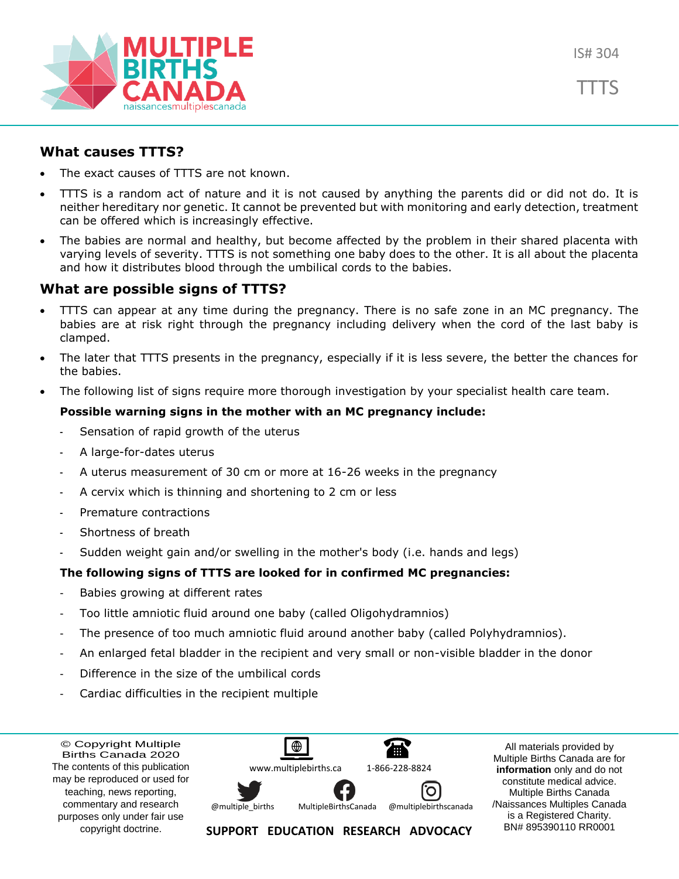



# **What causes TTTS?**

- The exact causes of TTTS are not known.
- TTTS is a random act of nature and it is not caused by anything the parents did or did not do. It is neither hereditary nor genetic. It cannot be prevented but with monitoring and early detection, treatment can be offered which is increasingly effective.
- The babies are normal and healthy, but become affected by the problem in their shared placenta with varying levels of severity. TTTS is not something one baby does to the other. It is all about the placenta and how it distributes blood through the umbilical cords to the babies.

# **What are possible signs of TTTS?**

- TTTS can appear at any time during the pregnancy. There is no safe zone in an MC pregnancy. The babies are at risk right through the pregnancy including delivery when the cord of the last baby is clamped.
- The later that TTTS presents in the pregnancy, especially if it is less severe, the better the chances for the babies.
- The following list of signs require more thorough investigation by your specialist health care team.

## **Possible warning signs in the mother with an MC pregnancy include:**

- Sensation of rapid growth of the uterus
- A large-for-dates uterus
- A uterus measurement of 30 cm or more at 16-26 weeks in the pregnancy
- A cervix which is thinning and shortening to 2 cm or less
- Premature contractions
- Shortness of breath
- Sudden weight gain and/or swelling in the mother's body (i.e. hands and legs)

## **The following signs of TTTS are looked for in confirmed MC pregnancies:**

- Babies growing at different rates
- Too little amniotic fluid around one baby (called Oligohydramnios)
- The presence of too much amniotic fluid around another baby (called Polyhydramnios).
- An enlarged fetal bladder in the recipient and very small or non-visible bladder in the donor
- Difference in the size of the umbilical cords
- Cardiac difficulties in the recipient multiple

© Copyright Multiple Births Canada 2020 The contents of this publication may be reproduced or used for teaching, news reporting, commentary and research purposes only under fair use copyright doctrine.



All materials provided by Multiple Births Canada are for **information** only and do not constitute medical advice. Multiple Births Canada /Naissances Multiples Canada is a Registered Charity. BN# 895390110 RR0001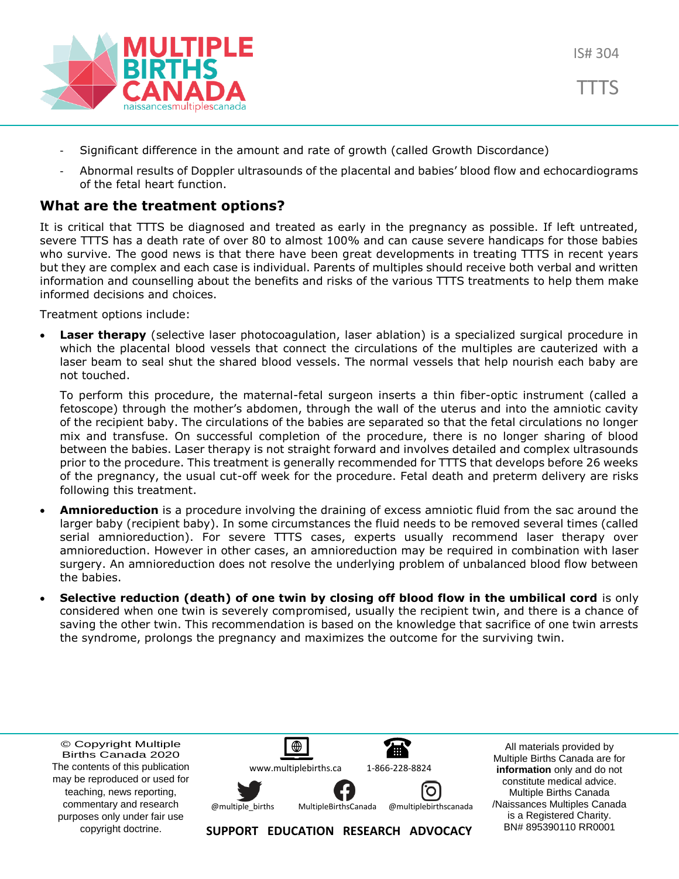

- Significant difference in the amount and rate of growth (called Growth Discordance)
- Abnormal results of Doppler ultrasounds of the placental and babies' blood flow and echocardiograms of the fetal heart function.

## **What are the treatment options?**

It is critical that TTTS be diagnosed and treated as early in the pregnancy as possible. If left untreated, severe TTTS has a death rate of over 80 to almost 100% and can cause severe handicaps for those babies who survive. The good news is that there have been great developments in treating TTTS in recent years but they are complex and each case is individual. Parents of multiples should receive both verbal and written information and counselling about the benefits and risks of the various TTTS treatments to help them make informed decisions and choices.

Treatment options include:

• **Laser therapy** (selective laser photocoagulation, laser ablation) is a specialized surgical procedure in which the placental blood vessels that connect the circulations of the multiples are cauterized with a laser beam to seal shut the shared blood vessels. The normal vessels that help nourish each baby are not touched.

To perform this procedure, the maternal-fetal surgeon inserts a thin fiber-optic instrument (called a fetoscope) through the mother's abdomen, through the wall of the uterus and into the amniotic cavity of the recipient baby. The circulations of the babies are separated so that the fetal circulations no longer mix and transfuse. On successful completion of the procedure, there is no longer sharing of blood between the babies. Laser therapy is not straight forward and involves detailed and complex ultrasounds prior to the procedure. This treatment is generally recommended for TTTS that develops before 26 weeks of the pregnancy, the usual cut-off week for the procedure. Fetal death and preterm delivery are risks following this treatment.

- **Amnioreduction** is a procedure involving the draining of excess amniotic fluid from the sac around the larger baby (recipient baby). In some circumstances the fluid needs to be removed several times (called serial amnioreduction). For severe TTTS cases, experts usually recommend laser therapy over amnioreduction. However in other cases, an amnioreduction may be required in combination with laser surgery. An amnioreduction does not resolve the underlying problem of unbalanced blood flow between the babies.
- **Selective reduction (death) of one twin by closing off blood flow in the umbilical cord** is only considered when one twin is severely compromised, usually the recipient twin, and there is a chance of saving the other twin. This recommendation is based on the knowledge that sacrifice of one twin arrests the syndrome, prolongs the pregnancy and maximizes the outcome for the surviving twin.

© Copyright Multiple Births Canada 2020 The contents of this publication may be reproduced or used for teaching, news reporting, commentary and research purposes only under fair use copyright doctrine.



All materials provided by Multiple Births Canada are for **information** only and do not constitute medical advice. Multiple Births Canada /Naissances Multiples Canada is a Registered Charity. BN# 895390110 RR0001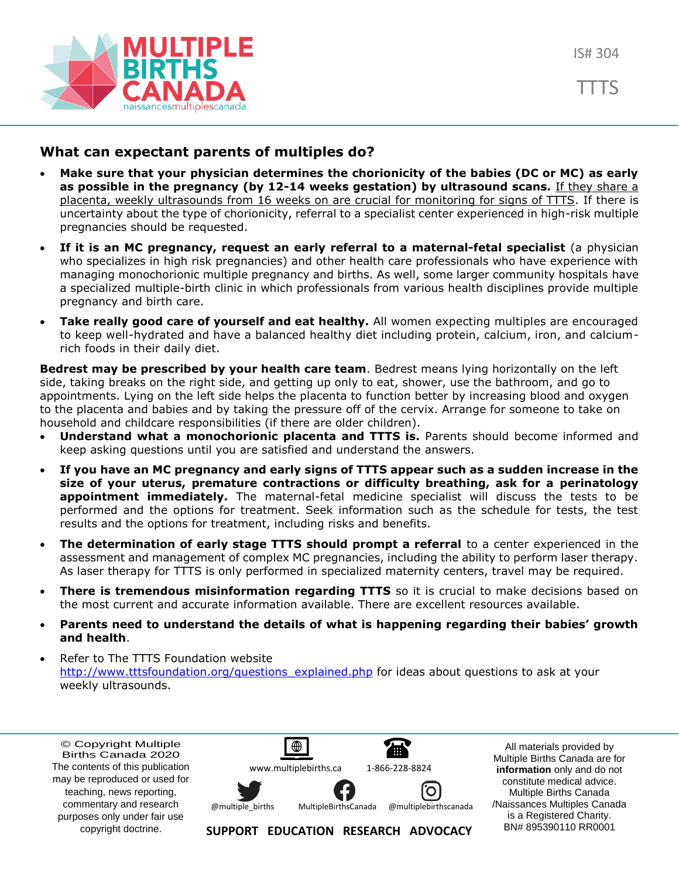

## **What can expectant parents of multiples do?**

- **Make sure that your physician determines the chorionicity of the babies (DC or MC) as early as possible in the pregnancy (by 12-14 weeks gestation) by ultrasound scans.** If they share a placenta, weekly ultrasounds from 16 weeks on are crucial for monitoring for signs of TTTS. If there is uncertainty about the type of chorionicity, referral to a specialist center experienced in high-risk multiple pregnancies should be requested.
- **If it is an MC pregnancy, request an early referral to a maternal-fetal specialist** (a physician who specializes in high risk pregnancies) and other health care professionals who have experience with managing monochorionic multiple pregnancy and births. As well, some larger community hospitals have a specialized multiple-birth clinic in which professionals from various health disciplines provide multiple pregnancy and birth care.
- **Take really good care of yourself and eat healthy.** All women expecting multiples are encouraged to keep well-hydrated and have a balanced healthy diet including protein, calcium, iron, and calciumrich foods in their daily diet.

**Bedrest may be prescribed by your health care team**. Bedrest means lying horizontally on the left side, taking breaks on the right side, and getting up only to eat, shower, use the bathroom, and go to appointments. Lying on the left side helps the placenta to function better by increasing blood and oxygen to the placenta and babies and by taking the pressure off of the cervix. Arrange for someone to take on household and childcare responsibilities (if there are older children).

- **Understand what a monochorionic placenta and TTTS is.** Parents should become informed and keep asking questions until you are satisfied and understand the answers.
- **If you have an MC pregnancy and early signs of TTTS appear such as a sudden increase in the size of your uterus, premature contractions or difficulty breathing, ask for a perinatology appointment immediately.** The maternal-fetal medicine specialist will discuss the tests to be performed and the options for treatment. Seek information such as the schedule for tests, the test results and the options for treatment, including risks and benefits.
- **The determination of early stage TTTS should prompt a referral** to a center experienced in the assessment and management of complex MC pregnancies, including the ability to perform laser therapy. As laser therapy for TTTS is only performed in specialized maternity centers, travel may be required.
- **There is tremendous misinformation regarding TTTS** so it is crucial to make decisions based on the most current and accurate information available. There are excellent resources available.
- **Parents need to understand the details of what is happening regarding their babies' growth and health**.
- Refer to The TTTS Foundation website [http://www.tttsfoundation.org/questions\\_explained.php](http://www.tttsfoundation.org/questions_explained.php) for ideas about questions to ask at your weekly ultrasounds.

© Copyright Multiple Births Canada 2020 The contents of this publication may be reproduced or used for teaching, news reporting, commentary and research purposes only under fair use copyright doctrine.



All materials provided by Multiple Births Canada are for **information** only and do not constitute medical advice. Multiple Births Canada /Naissances Multiples Canada is a Registered Charity. BN# 895390110 RR0001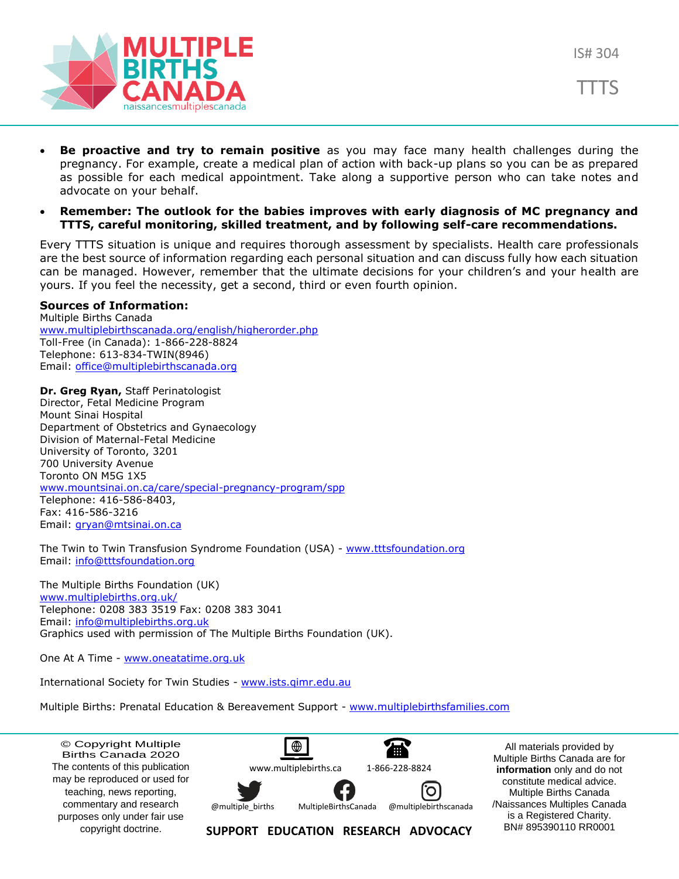





- **Be proactive and try to remain positive** as you may face many health challenges during the pregnancy. For example, create a medical plan of action with back-up plans so you can be as prepared as possible for each medical appointment. Take along a supportive person who can take notes and advocate on your behalf.
- **Remember: The outlook for the babies improves with early diagnosis of MC pregnancy and TTTS, careful monitoring, skilled treatment, and by following self-care recommendations.**

Every TTTS situation is unique and requires thorough assessment by specialists. Health care professionals are the best source of information regarding each personal situation and can discuss fully how each situation can be managed. However, remember that the ultimate decisions for your children's and your health are yours. If you feel the necessity, get a second, third or even fourth opinion.

#### **Sources of Information:**

Multiple Births Canada [www.multiplebirthscanada.org/english/higherorder.php](http://www.multiplebirthscanada.org/english/higherorder.php) Toll-Free (in Canada): 1-866-228-8824 Telephone: 613-834-TWIN(8946) Email: [office@multiplebirthscanada.org](mailto:office@multiplebirthscanada.org)

**Dr. Greg Ryan,** Staff Perinatologist Director, Fetal Medicine Program Mount Sinai Hospital Department of Obstetrics and Gynaecology Division of Maternal-Fetal Medicine University of Toronto, 3201 700 University Avenue Toronto ON M5G 1X5 [www.mountsinai.on.ca/care/special-pregnancy-program/spp](http://www.mountsinai.on.ca/care/special-pregnancy-program/spp) Telephone: 416-586-8403, Fax: 416-586-3216 Email: gryan@mtsinai.on.ca

The Twin to Twin Transfusion Syndrome Foundation (USA) - [www.tttsfoundation.org](http://www.tttsfoundation.org/) Email: [info@tttsfoundation.org](mailto:info@tttsfoundation.org)

The Multiple Births Foundation (UK) www.multiplebirths.org.uk/ Telephone: 0208 383 3519 Fax: 0208 383 3041 Email: [info@multiplebirths.org.uk](mailto:info@multiplebirths.org.uk) Graphics used with permission of The Multiple Births Foundation (UK).

One At A Time - [www.oneatatime.org.uk](http://www.oneatatime.org.uk/)

International Society for Twin Studies - [www.ists.qimr.edu.au](http://www.ists.qimr.edu.au/)

Multiple Births: Prenatal Education & Bereavement Support - [www.multiplebirthsfamilies.com](http://www.multiplebirthsfamilies.com/)

© Copyright Multiple Births Canada 2020 The contents of this publication may be reproduced or used for teaching, news reporting, commentary and research purposes only under fair use copyright doctrine.

⊕ **THE** [www.multiplebirths.ca](http://www.multiplebirths.ca/) 1-866-228-8824



@multiple\_births



All materials provided by Multiple Births Canada are for **information** only and do not constitute medical advice. Multiple Births Canada /Naissances Multiples Canada is a Registered Charity. BN# 895390110 RR0001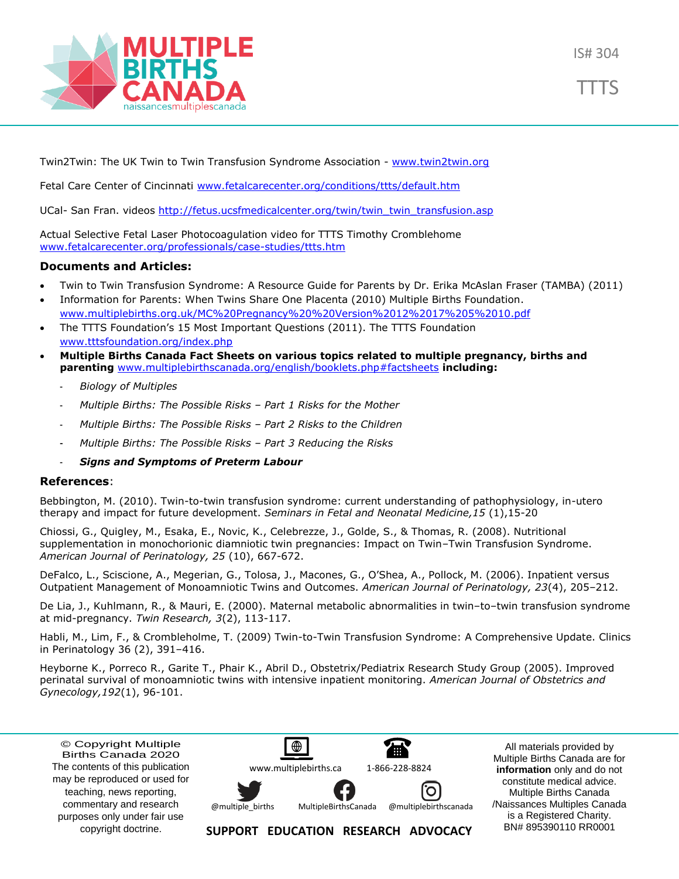

TTTS

Twin2Twin: The UK Twin to Twin Transfusion Syndrome Association - [www.twin2twin.org](http://www.twin2twin.org/)

Fetal Care Center of Cincinnati [www.fetalcarecenter.org/conditions/ttts/default.htm](http://www.fetalcarecenter.org/conditions/ttts/default.htm)

UCal- San Fran. videos [http://fetus.ucsfmedicalcenter.org/twin/twin\\_twin\\_transfusion.asp](http://fetus.ucsfmedicalcenter.org/twin/twin_twin_transfusion.asp)

Actual Selective Fetal Laser Photocoagulation video for TTTS Timothy Cromblehome [www.fetalcarecenter.org/professionals/case-studies/ttts.htm](http://www.fetalcarecenter.org/professionals/case-studies/ttts.htm)

#### **Documents and Articles:**

- Twin to Twin Transfusion Syndrome: A Resource Guide for Parents by Dr. Erika McAslan Fraser (TAMBA) (2011)
- Information for Parents: When Twins Share One Placenta (2010) Multiple Births Foundation. www.multiplebirths.org.uk/MC%20Pregnancy%20%20Version%2012%2017%205%2010.pdf
- The TTTS Foundation's 15 Most Important Questions (2011). The TTTS Foundation [www.tttsfoundation.org/index.php](http://www.tttsfoundation.org/index.php)
- **Multiple Births Canada Fact Sheets on various topics related to multiple pregnancy, births and parenting** [www.multiplebirthscanada.org/english/booklets.php#factsheets](http://www.multiplebirthscanada.org/english/booklets.php#factsheets) **including:**
	- *Biology of Multiples*
	- *Multiple Births: The Possible Risks – Part 1 Risks for the Mother*
	- *Multiple Births: The Possible Risks – Part 2 Risks to the Children*
	- *Multiple Births: The Possible Risks – Part 3 Reducing the Risks*
	- *Signs and Symptoms of Preterm Labour*

#### **References**:

Bebbington, M. (2010). Twin-to-twin transfusion syndrome: current understanding of pathophysiology, in-utero therapy and impact for future development. *Seminars in Fetal and Neonatal Medicine,15* (1),15-20

Chiossi, G., Quigley, M., Esaka, E., Novic, K., Celebrezze, J., Golde, S., & Thomas, R. (2008). Nutritional supplementation in monochorionic diamniotic twin pregnancies: Impact on Twin–Twin Transfusion Syndrome. *American Journal of Perinatology, 25* (10), 667-672.

DeFalco, L., Sciscione, A., Megerian, G., Tolosa, J., Macones, G., O'Shea, A., Pollock, M. (2006). Inpatient versus Outpatient Management of Monoamniotic Twins and Outcomes. *American Journal of Perinatology, 23*(4), 205–212.

De Lia, J., Kuhlmann, R., & Mauri, E. (2000). Maternal metabolic abnormalities in twin–to–twin transfusion syndrome at mid-pregnancy. *Twin Research, 3*(2), 113-117.

Habli, M., Lim, F., & Crombleholme, T. (2009) Twin-to-Twin Transfusion Syndrome: A Comprehensive Update. Clinics in Perinatology 36 (2), 391–416.

Heyborne K., Porreco R., Garite T., Phair K., Abril D., Obstetrix/Pediatrix Research Study Group (2005). Improved perinatal survival of monoamniotic twins with intensive inpatient monitoring. *American Journal of Obstetrics and Gynecology,192*(1), 96-101.

© Copyright Multiple Births Canada 2020 The contents of this publication may be reproduced or used for teaching, news reporting, commentary and research purposes only under fair use copyright doctrine.



All materials provided by Multiple Births Canada are for **information** only and do not constitute medical advice. Multiple Births Canada /Naissances Multiples Canada is a Registered Charity. BN# 895390110 RR0001